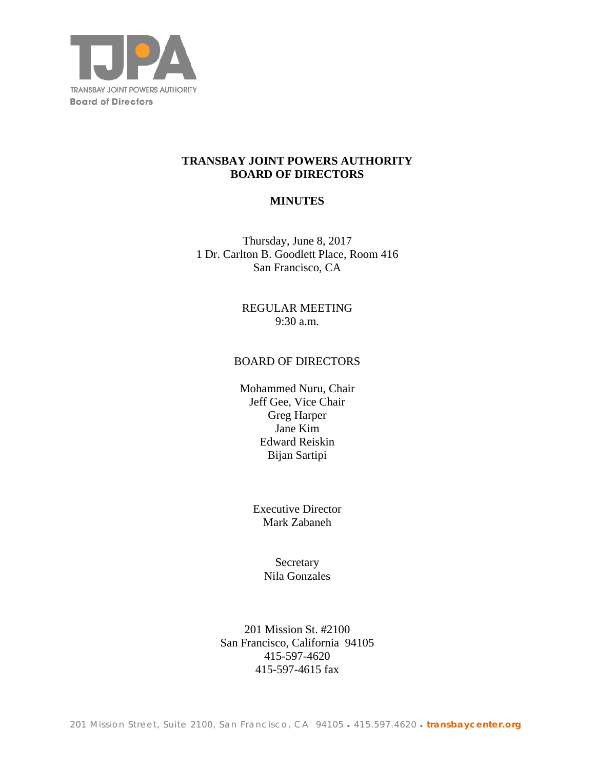

### **TRANSBAY JOINT POWERS AUTHORITY BOARD OF DIRECTORS**

## **MINUTES**

Thursday, June 8, 2017 1 Dr. Carlton B. Goodlett Place, Room 416 San Francisco, CA

> REGULAR MEETING 9:30 a.m.

#### BOARD OF DIRECTORS

Mohammed Nuru, Chair Jeff Gee, Vice Chair Greg Harper Jane Kim Edward Reiskin Bijan Sartipi

> Executive Director Mark Zabaneh

> > **Secretary** Nila Gonzales

201 Mission St. #2100 San Francisco, California 94105 415-597-4620 415-597-4615 fax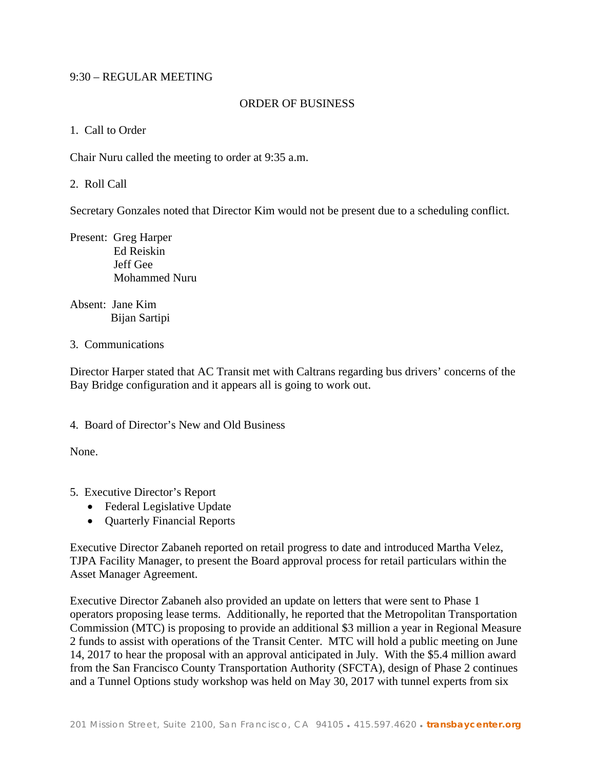### 9:30 – REGULAR MEETING

### ORDER OF BUSINESS

#### 1. Call to Order

Chair Nuru called the meeting to order at 9:35 a.m.

2. Roll Call

Secretary Gonzales noted that Director Kim would not be present due to a scheduling conflict*.*

Present: Greg Harper Ed Reiskin Jeff Gee Mohammed Nuru

Absent: Jane Kim Bijan Sartipi

#### 3. Communications

Director Harper stated that AC Transit met with Caltrans regarding bus drivers' concerns of the Bay Bridge configuration and it appears all is going to work out.

### 4. Board of Director's New and Old Business

None.

- 5. Executive Director's Report
	- Federal Legislative Update
	- Quarterly Financial Reports

Executive Director Zabaneh reported on retail progress to date and introduced Martha Velez, TJPA Facility Manager, to present the Board approval process for retail particulars within the Asset Manager Agreement.

Executive Director Zabaneh also provided an update on letters that were sent to Phase 1 operators proposing lease terms. Additionally, he reported that the Metropolitan Transportation Commission (MTC) is proposing to provide an additional \$3 million a year in Regional Measure 2 funds to assist with operations of the Transit Center. MTC will hold a public meeting on June 14, 2017 to hear the proposal with an approval anticipated in July. With the \$5.4 million award from the San Francisco County Transportation Authority (SFCTA), design of Phase 2 continues and a Tunnel Options study workshop was held on May 30, 2017 with tunnel experts from six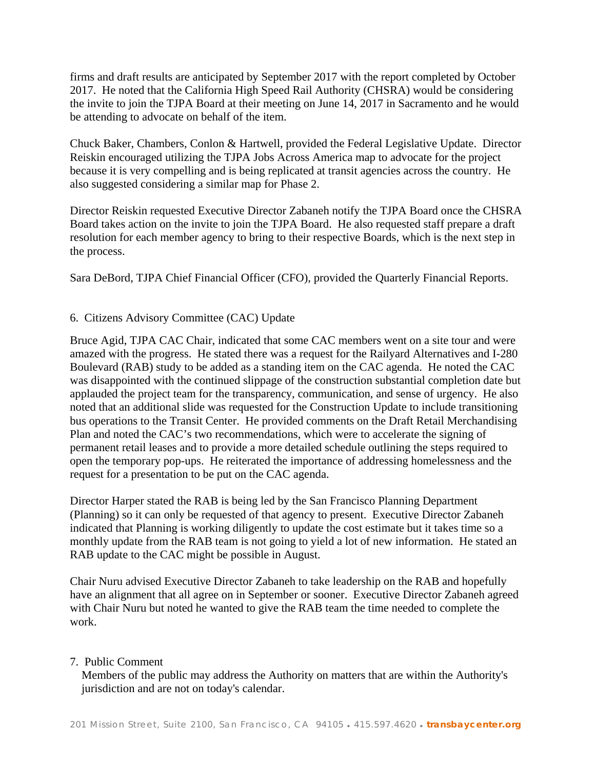firms and draft results are anticipated by September 2017 with the report completed by October 2017. He noted that the California High Speed Rail Authority (CHSRA) would be considering the invite to join the TJPA Board at their meeting on June 14, 2017 in Sacramento and he would be attending to advocate on behalf of the item.

Chuck Baker, Chambers, Conlon & Hartwell, provided the Federal Legislative Update. Director Reiskin encouraged utilizing the TJPA Jobs Across America map to advocate for the project because it is very compelling and is being replicated at transit agencies across the country. He also suggested considering a similar map for Phase 2.

Director Reiskin requested Executive Director Zabaneh notify the TJPA Board once the CHSRA Board takes action on the invite to join the TJPA Board. He also requested staff prepare a draft resolution for each member agency to bring to their respective Boards, which is the next step in the process.

Sara DeBord, TJPA Chief Financial Officer (CFO), provided the Quarterly Financial Reports.

## 6. Citizens Advisory Committee (CAC) Update

Bruce Agid, TJPA CAC Chair, indicated that some CAC members went on a site tour and were amazed with the progress. He stated there was a request for the Railyard Alternatives and I-280 Boulevard (RAB) study to be added as a standing item on the CAC agenda. He noted the CAC was disappointed with the continued slippage of the construction substantial completion date but applauded the project team for the transparency, communication, and sense of urgency. He also noted that an additional slide was requested for the Construction Update to include transitioning bus operations to the Transit Center. He provided comments on the Draft Retail Merchandising Plan and noted the CAC's two recommendations, which were to accelerate the signing of permanent retail leases and to provide a more detailed schedule outlining the steps required to open the temporary pop-ups. He reiterated the importance of addressing homelessness and the request for a presentation to be put on the CAC agenda.

Director Harper stated the RAB is being led by the San Francisco Planning Department (Planning) so it can only be requested of that agency to present. Executive Director Zabaneh indicated that Planning is working diligently to update the cost estimate but it takes time so a monthly update from the RAB team is not going to yield a lot of new information. He stated an RAB update to the CAC might be possible in August.

Chair Nuru advised Executive Director Zabaneh to take leadership on the RAB and hopefully have an alignment that all agree on in September or sooner. Executive Director Zabaneh agreed with Chair Nuru but noted he wanted to give the RAB team the time needed to complete the work.

### 7. Public Comment

 Members of the public may address the Authority on matters that are within the Authority's jurisdiction and are not on today's calendar.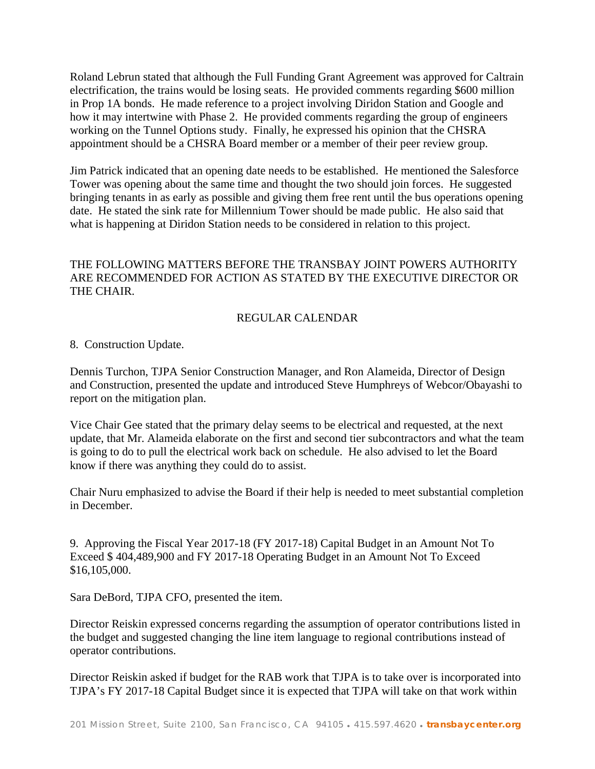Roland Lebrun stated that although the Full Funding Grant Agreement was approved for Caltrain electrification, the trains would be losing seats. He provided comments regarding \$600 million in Prop 1A bonds. He made reference to a project involving Diridon Station and Google and how it may intertwine with Phase 2. He provided comments regarding the group of engineers working on the Tunnel Options study. Finally, he expressed his opinion that the CHSRA appointment should be a CHSRA Board member or a member of their peer review group.

Jim Patrick indicated that an opening date needs to be established. He mentioned the Salesforce Tower was opening about the same time and thought the two should join forces. He suggested bringing tenants in as early as possible and giving them free rent until the bus operations opening date. He stated the sink rate for Millennium Tower should be made public. He also said that what is happening at Diridon Station needs to be considered in relation to this project.

# THE FOLLOWING MATTERS BEFORE THE TRANSBAY JOINT POWERS AUTHORITY ARE RECOMMENDED FOR ACTION AS STATED BY THE EXECUTIVE DIRECTOR OR THE CHAIR.

# REGULAR CALENDAR

8. Construction Update.

Dennis Turchon, TJPA Senior Construction Manager, and Ron Alameida, Director of Design and Construction, presented the update and introduced Steve Humphreys of Webcor/Obayashi to report on the mitigation plan.

Vice Chair Gee stated that the primary delay seems to be electrical and requested, at the next update, that Mr. Alameida elaborate on the first and second tier subcontractors and what the team is going to do to pull the electrical work back on schedule. He also advised to let the Board know if there was anything they could do to assist.

Chair Nuru emphasized to advise the Board if their help is needed to meet substantial completion in December.

9. Approving the Fiscal Year 2017-18 (FY 2017-18) Capital Budget in an Amount Not To Exceed \$ 404,489,900 and FY 2017-18 Operating Budget in an Amount Not To Exceed \$16,105,000.

Sara DeBord, TJPA CFO, presented the item.

Director Reiskin expressed concerns regarding the assumption of operator contributions listed in the budget and suggested changing the line item language to regional contributions instead of operator contributions.

Director Reiskin asked if budget for the RAB work that TJPA is to take over is incorporated into TJPA's FY 2017-18 Capital Budget since it is expected that TJPA will take on that work within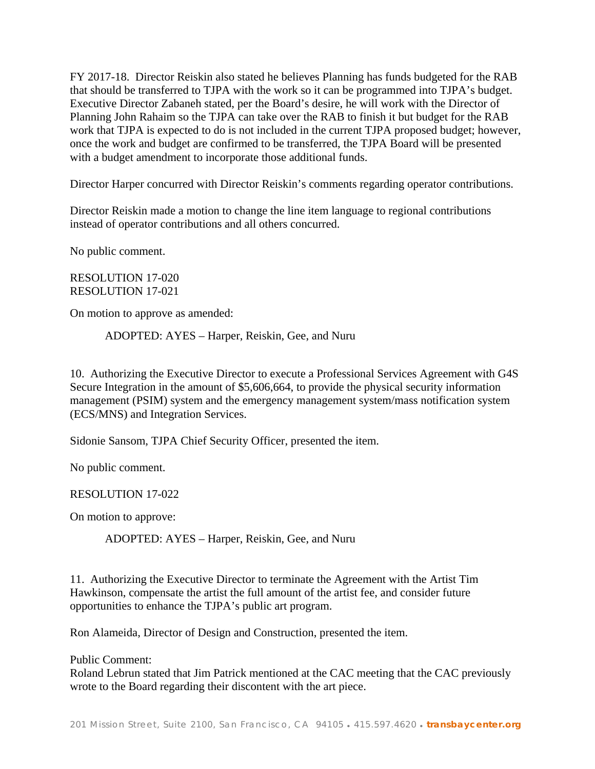FY 2017-18. Director Reiskin also stated he believes Planning has funds budgeted for the RAB that should be transferred to TJPA with the work so it can be programmed into TJPA's budget. Executive Director Zabaneh stated, per the Board's desire, he will work with the Director of Planning John Rahaim so the TJPA can take over the RAB to finish it but budget for the RAB work that TJPA is expected to do is not included in the current TJPA proposed budget; however, once the work and budget are confirmed to be transferred, the TJPA Board will be presented with a budget amendment to incorporate those additional funds.

Director Harper concurred with Director Reiskin's comments regarding operator contributions.

Director Reiskin made a motion to change the line item language to regional contributions instead of operator contributions and all others concurred.

No public comment.

RESOLUTION 17-020 RESOLUTION 17-021

On motion to approve as amended:

ADOPTED: AYES – Harper, Reiskin, Gee, and Nuru

10. Authorizing the Executive Director to execute a Professional Services Agreement with G4S Secure Integration in the amount of \$5,606,664, to provide the physical security information management (PSIM) system and the emergency management system/mass notification system (ECS/MNS) and Integration Services.

Sidonie Sansom, TJPA Chief Security Officer, presented the item.

No public comment.

RESOLUTION 17-022

On motion to approve:

ADOPTED: AYES – Harper, Reiskin, Gee, and Nuru

11. Authorizing the Executive Director to terminate the Agreement with the Artist Tim Hawkinson, compensate the artist the full amount of the artist fee, and consider future opportunities to enhance the TJPA's public art program.

Ron Alameida, Director of Design and Construction, presented the item.

Public Comment:

Roland Lebrun stated that Jim Patrick mentioned at the CAC meeting that the CAC previously wrote to the Board regarding their discontent with the art piece.